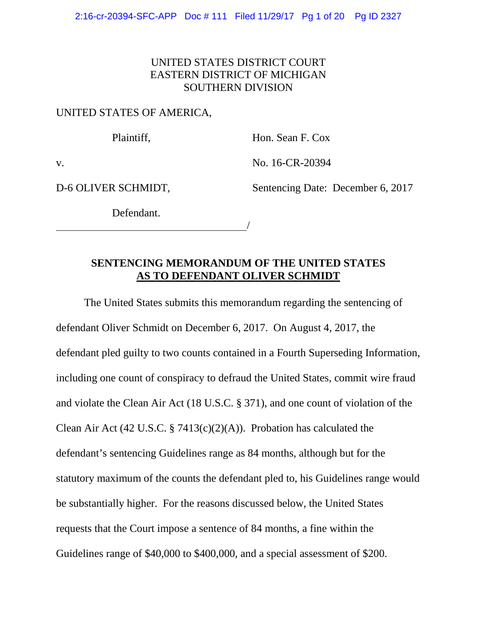## UNITED STATES DISTRICT COURT EASTERN DISTRICT OF MICHIGAN SOUTHERN DIVISION

## UNITED STATES OF AMERICA,

Plaintiff, Hon. Sean F. Cox

v. No. 16-CR-20394

D-6 OLIVER SCHMIDT, Sentencing Date: December 6, 2017

Defendant.

<u>/</u>

## **SENTENCING MEMORANDUM OF THE UNITED STATES AS TO DEFENDANT OLIVER SCHMIDT**

The United States submits this memorandum regarding the sentencing of defendant Oliver Schmidt on December 6, 2017. On August 4, 2017, the defendant pled guilty to two counts contained in a Fourth Superseding Information, including one count of conspiracy to defraud the United States, commit wire fraud and violate the Clean Air Act (18 U.S.C. § 371), and one count of violation of the Clean Air Act (42 U.S.C. § 7413(c)(2)(A)). Probation has calculated the defendant's sentencing Guidelines range as 84 months, although but for the statutory maximum of the counts the defendant pled to, his Guidelines range would be substantially higher. For the reasons discussed below, the United States requests that the Court impose a sentence of 84 months, a fine within the Guidelines range of \$40,000 to \$400,000, and a special assessment of \$200.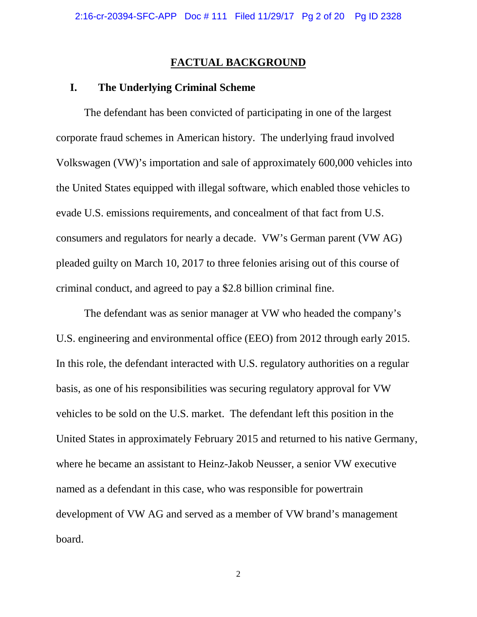#### **FACTUAL BACKGROUND**

## **I. The Underlying Criminal Scheme**

The defendant has been convicted of participating in one of the largest corporate fraud schemes in American history. The underlying fraud involved Volkswagen (VW)'s importation and sale of approximately 600,000 vehicles into the United States equipped with illegal software, which enabled those vehicles to evade U.S. emissions requirements, and concealment of that fact from U.S. consumers and regulators for nearly a decade. VW's German parent (VW AG) pleaded guilty on March 10, 2017 to three felonies arising out of this course of criminal conduct, and agreed to pay a \$2.8 billion criminal fine.

The defendant was as senior manager at VW who headed the company's U.S. engineering and environmental office (EEO) from 2012 through early 2015. In this role, the defendant interacted with U.S. regulatory authorities on a regular basis, as one of his responsibilities was securing regulatory approval for VW vehicles to be sold on the U.S. market. The defendant left this position in the United States in approximately February 2015 and returned to his native Germany, where he became an assistant to Heinz-Jakob Neusser, a senior VW executive named as a defendant in this case, who was responsible for powertrain development of VW AG and served as a member of VW brand's management board.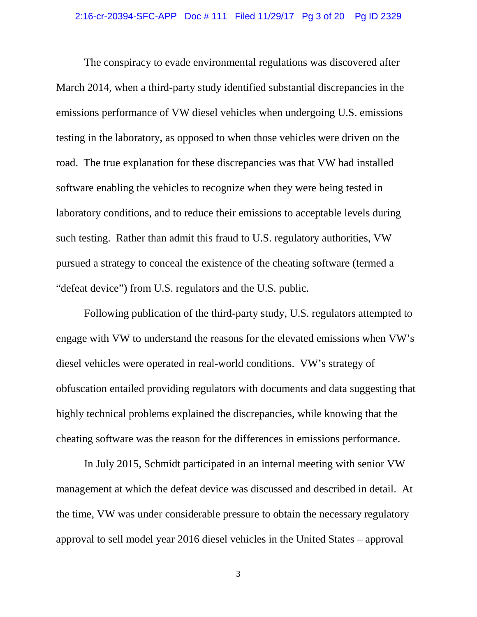The conspiracy to evade environmental regulations was discovered after March 2014, when a third-party study identified substantial discrepancies in the emissions performance of VW diesel vehicles when undergoing U.S. emissions testing in the laboratory, as opposed to when those vehicles were driven on the road. The true explanation for these discrepancies was that VW had installed software enabling the vehicles to recognize when they were being tested in laboratory conditions, and to reduce their emissions to acceptable levels during such testing. Rather than admit this fraud to U.S. regulatory authorities, VW pursued a strategy to conceal the existence of the cheating software (termed a "defeat device") from U.S. regulators and the U.S. public.

Following publication of the third-party study, U.S. regulators attempted to engage with VW to understand the reasons for the elevated emissions when VW's diesel vehicles were operated in real-world conditions. VW's strategy of obfuscation entailed providing regulators with documents and data suggesting that highly technical problems explained the discrepancies, while knowing that the cheating software was the reason for the differences in emissions performance.

In July 2015, Schmidt participated in an internal meeting with senior VW management at which the defeat device was discussed and described in detail. At the time, VW was under considerable pressure to obtain the necessary regulatory approval to sell model year 2016 diesel vehicles in the United States – approval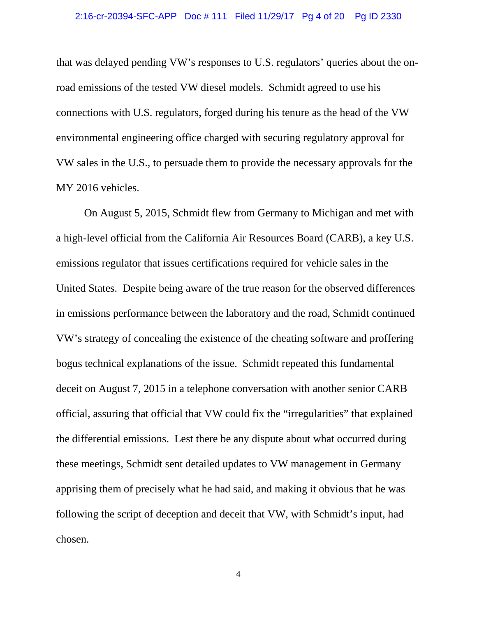that was delayed pending VW's responses to U.S. regulators' queries about the onroad emissions of the tested VW diesel models. Schmidt agreed to use his connections with U.S. regulators, forged during his tenure as the head of the VW environmental engineering office charged with securing regulatory approval for VW sales in the U.S., to persuade them to provide the necessary approvals for the MY 2016 vehicles.

On August 5, 2015, Schmidt flew from Germany to Michigan and met with a high-level official from the California Air Resources Board (CARB), a key U.S. emissions regulator that issues certifications required for vehicle sales in the United States. Despite being aware of the true reason for the observed differences in emissions performance between the laboratory and the road, Schmidt continued VW's strategy of concealing the existence of the cheating software and proffering bogus technical explanations of the issue. Schmidt repeated this fundamental deceit on August 7, 2015 in a telephone conversation with another senior CARB official, assuring that official that VW could fix the "irregularities" that explained the differential emissions. Lest there be any dispute about what occurred during these meetings, Schmidt sent detailed updates to VW management in Germany apprising them of precisely what he had said, and making it obvious that he was following the script of deception and deceit that VW, with Schmidt's input, had chosen.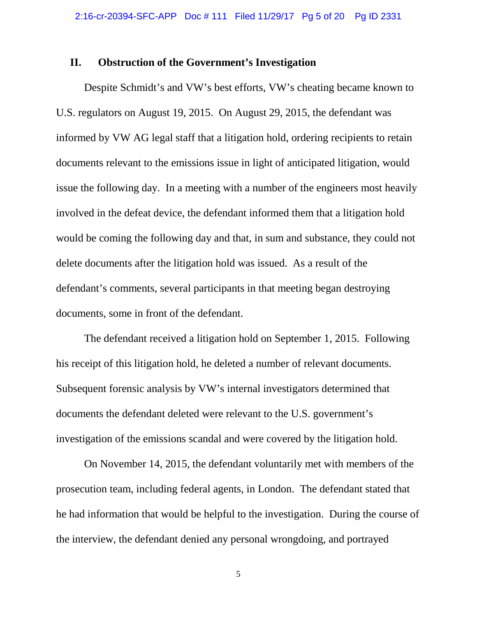#### **II. Obstruction of the Government's Investigation**

Despite Schmidt's and VW's best efforts, VW's cheating became known to U.S. regulators on August 19, 2015. On August 29, 2015, the defendant was informed by VW AG legal staff that a litigation hold, ordering recipients to retain documents relevant to the emissions issue in light of anticipated litigation, would issue the following day. In a meeting with a number of the engineers most heavily involved in the defeat device, the defendant informed them that a litigation hold would be coming the following day and that, in sum and substance, they could not delete documents after the litigation hold was issued. As a result of the defendant's comments, several participants in that meeting began destroying documents, some in front of the defendant.

The defendant received a litigation hold on September 1, 2015. Following his receipt of this litigation hold, he deleted a number of relevant documents. Subsequent forensic analysis by VW's internal investigators determined that documents the defendant deleted were relevant to the U.S. government's investigation of the emissions scandal and were covered by the litigation hold.

On November 14, 2015, the defendant voluntarily met with members of the prosecution team, including federal agents, in London. The defendant stated that he had information that would be helpful to the investigation. During the course of the interview, the defendant denied any personal wrongdoing, and portrayed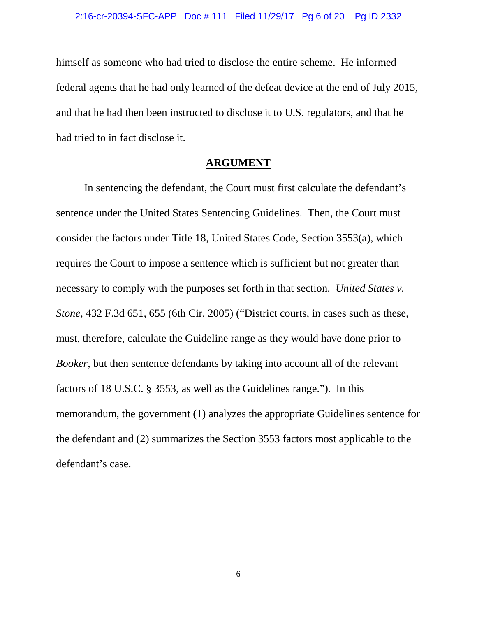himself as someone who had tried to disclose the entire scheme. He informed federal agents that he had only learned of the defeat device at the end of July 2015, and that he had then been instructed to disclose it to U.S. regulators, and that he had tried to in fact disclose it.

### **ARGUMENT**

In sentencing the defendant, the Court must first calculate the defendant's sentence under the United States Sentencing Guidelines. Then, the Court must consider the factors under Title 18, United States Code, Section 3553(a), which requires the Court to impose a sentence which is sufficient but not greater than necessary to comply with the purposes set forth in that section. *United States v. Stone*, 432 F.3d 651, 655 (6th Cir. 2005) ("District courts, in cases such as these, must, therefore, calculate the Guideline range as they would have done prior to *Booker*, but then sentence defendants by taking into account all of the relevant factors of 18 U.S.C. § 3553, as well as the Guidelines range."). In this memorandum, the government (1) analyzes the appropriate Guidelines sentence for the defendant and (2) summarizes the Section 3553 factors most applicable to the defendant's case.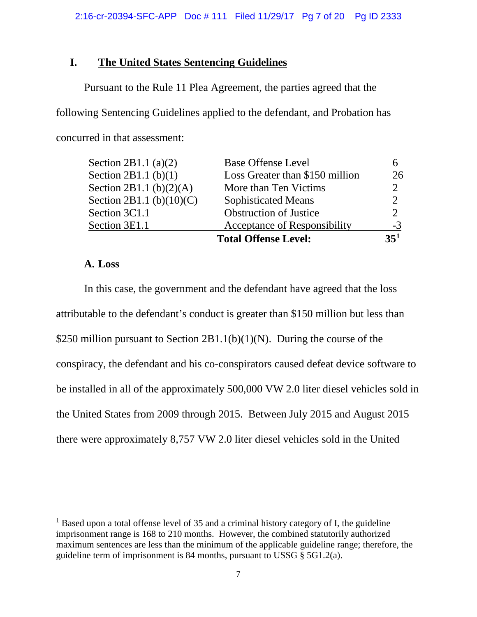# **I. The United States Sentencing Guidelines**

Pursuant to the Rule 11 Plea Agreement, the parties agreed that the following Sentencing Guidelines applied to the defendant, and Probation has concurred in that assessment:

|                             | <b>Total Offense Level:</b>     | 35 <sup>1</sup>             |
|-----------------------------|---------------------------------|-----------------------------|
| Section 3E1.1               | Acceptance of Responsibility    | $-3$                        |
| Section 3C1.1               | <b>Obstruction of Justice</b>   | っ                           |
| Section 2B1.1 (b) $(10)(C)$ | <b>Sophisticated Means</b>      | $\mathcal{D}_{\mathcal{A}}$ |
| Section 2B1.1 (b) $(2)(A)$  | More than Ten Victims           |                             |
| Section 2B1.1 $(b)(1)$      | Loss Greater than \$150 million | 26                          |
| Section 2B1.1 (a) $(2)$     | <b>Base Offense Level</b>       |                             |

## **A. Loss**

In this case, the government and the defendant have agreed that the loss attributable to the defendant's conduct is greater than \$150 million but less than \$250 million pursuant to Section 2B1.1(b)(1)(N). During the course of the conspiracy, the defendant and his co-conspirators caused defeat device software to be installed in all of the approximately 500,000 VW 2.0 liter diesel vehicles sold in the United States from 2009 through 2015. Between July 2015 and August 2015 there were approximately 8,757 VW 2.0 liter diesel vehicles sold in the United

<span id="page-6-0"></span> $<sup>1</sup>$  Based upon a total offense level of 35 and a criminal history category of I, the guideline</sup> imprisonment range is 168 to 210 months. However, the combined statutorily authorized maximum sentences are less than the minimum of the applicable guideline range; therefore, the guideline term of imprisonment is 84 months, pursuant to USSG § 5G1.2(a).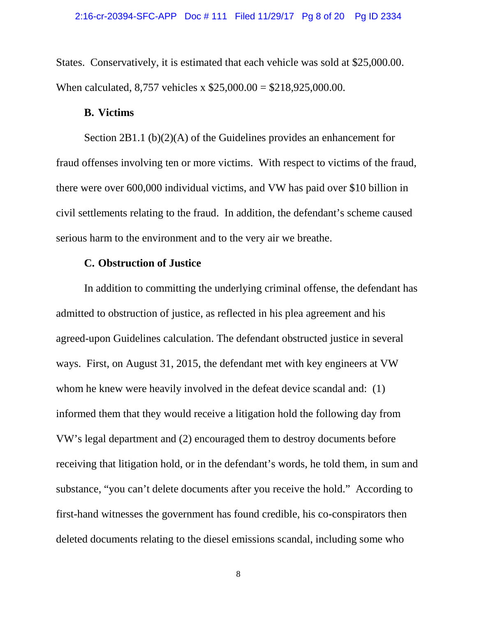States. Conservatively, it is estimated that each vehicle was sold at \$25,000.00. When calculated, 8,757 vehicles x \$25,000.00 = \$218,925,000.00.

#### **B. Victims**

Section 2B1.1 (b)(2)(A) of the Guidelines provides an enhancement for fraud offenses involving ten or more victims. With respect to victims of the fraud, there were over 600,000 individual victims, and VW has paid over \$10 billion in civil settlements relating to the fraud. In addition, the defendant's scheme caused serious harm to the environment and to the very air we breathe.

# **C. Obstruction of Justice**

In addition to committing the underlying criminal offense, the defendant has admitted to obstruction of justice, as reflected in his plea agreement and his agreed-upon Guidelines calculation. The defendant obstructed justice in several ways. First, on August 31, 2015, the defendant met with key engineers at VW whom he knew were heavily involved in the defeat device scandal and: (1) informed them that they would receive a litigation hold the following day from VW's legal department and (2) encouraged them to destroy documents before receiving that litigation hold, or in the defendant's words, he told them, in sum and substance, "you can't delete documents after you receive the hold." According to first-hand witnesses the government has found credible, his co-conspirators then deleted documents relating to the diesel emissions scandal, including some who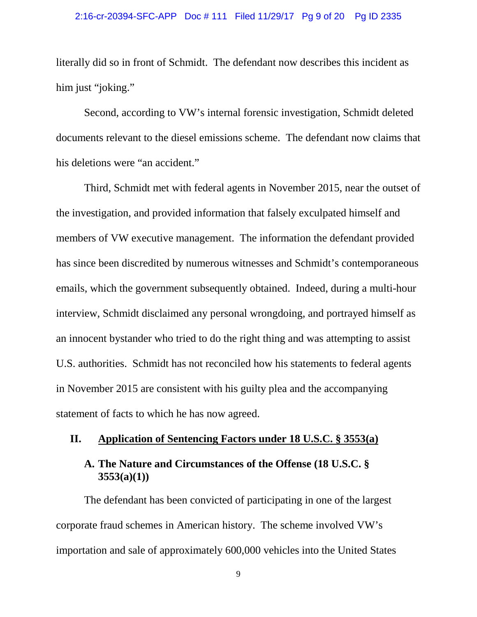### 2:16-cr-20394-SFC-APP Doc # 111 Filed 11/29/17 Pg 9 of 20 Pg ID 2335

literally did so in front of Schmidt. The defendant now describes this incident as him just "joking."

Second, according to VW's internal forensic investigation, Schmidt deleted documents relevant to the diesel emissions scheme. The defendant now claims that his deletions were "an accident."

Third, Schmidt met with federal agents in November 2015, near the outset of the investigation, and provided information that falsely exculpated himself and members of VW executive management. The information the defendant provided has since been discredited by numerous witnesses and Schmidt's contemporaneous emails, which the government subsequently obtained. Indeed, during a multi-hour interview, Schmidt disclaimed any personal wrongdoing, and portrayed himself as an innocent bystander who tried to do the right thing and was attempting to assist U.S. authorities. Schmidt has not reconciled how his statements to federal agents in November 2015 are consistent with his guilty plea and the accompanying statement of facts to which he has now agreed.

## **II. Application of Sentencing Factors under 18 U.S.C. § 3553(a)**

# **A. The Nature and Circumstances of the Offense (18 U.S.C. § 3553(a)(1))**

The defendant has been convicted of participating in one of the largest corporate fraud schemes in American history. The scheme involved VW's importation and sale of approximately 600,000 vehicles into the United States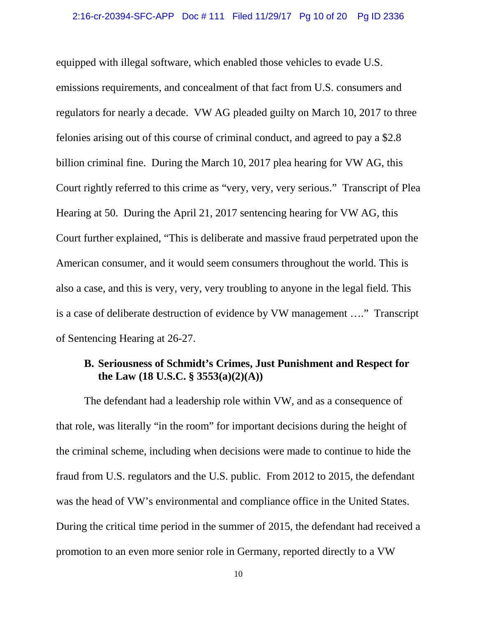equipped with illegal software, which enabled those vehicles to evade U.S. emissions requirements, and concealment of that fact from U.S. consumers and regulators for nearly a decade. VW AG pleaded guilty on March 10, 2017 to three felonies arising out of this course of criminal conduct, and agreed to pay a \$2.8 billion criminal fine. During the March 10, 2017 plea hearing for VW AG, this Court rightly referred to this crime as "very, very, very serious." Transcript of Plea Hearing at 50. During the April 21, 2017 sentencing hearing for VW AG, this Court further explained, "This is deliberate and massive fraud perpetrated upon the American consumer, and it would seem consumers throughout the world. This is also a case, and this is very, very, very troubling to anyone in the legal field. This is a case of deliberate destruction of evidence by VW management …." Transcript of Sentencing Hearing at 26-27.

## **B. Seriousness of Schmidt's Crimes, Just Punishment and Respect for the Law (18 U.S.C. § 3553(a)(2)(A))**

The defendant had a leadership role within VW, and as a consequence of that role, was literally "in the room" for important decisions during the height of the criminal scheme, including when decisions were made to continue to hide the fraud from U.S. regulators and the U.S. public. From 2012 to 2015, the defendant was the head of VW's environmental and compliance office in the United States. During the critical time period in the summer of 2015, the defendant had received a promotion to an even more senior role in Germany, reported directly to a VW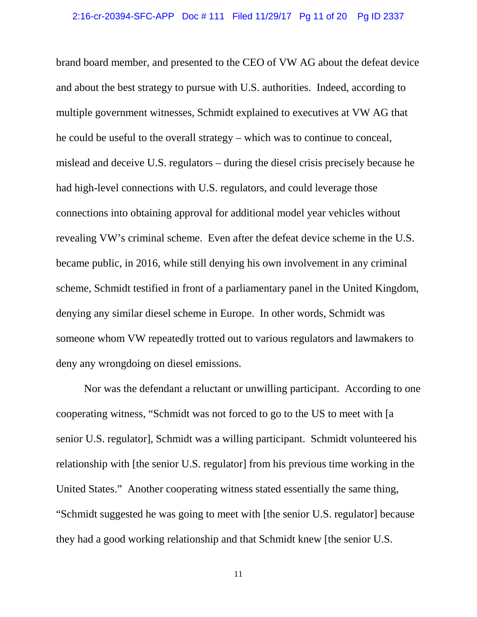brand board member, and presented to the CEO of VW AG about the defeat device and about the best strategy to pursue with U.S. authorities. Indeed, according to multiple government witnesses, Schmidt explained to executives at VW AG that he could be useful to the overall strategy – which was to continue to conceal, mislead and deceive U.S. regulators – during the diesel crisis precisely because he had high-level connections with U.S. regulators, and could leverage those connections into obtaining approval for additional model year vehicles without revealing VW's criminal scheme. Even after the defeat device scheme in the U.S. became public, in 2016, while still denying his own involvement in any criminal scheme, Schmidt testified in front of a parliamentary panel in the United Kingdom, denying any similar diesel scheme in Europe. In other words, Schmidt was someone whom VW repeatedly trotted out to various regulators and lawmakers to deny any wrongdoing on diesel emissions.

Nor was the defendant a reluctant or unwilling participant. According to one cooperating witness, "Schmidt was not forced to go to the US to meet with [a senior U.S. regulator], Schmidt was a willing participant. Schmidt volunteered his relationship with [the senior U.S. regulator] from his previous time working in the United States." Another cooperating witness stated essentially the same thing, "Schmidt suggested he was going to meet with [the senior U.S. regulator] because they had a good working relationship and that Schmidt knew [the senior U.S.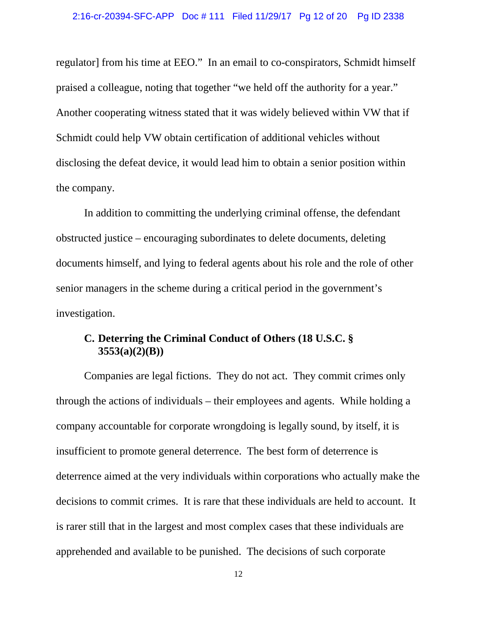regulator] from his time at EEO." In an email to co-conspirators, Schmidt himself praised a colleague, noting that together "we held off the authority for a year." Another cooperating witness stated that it was widely believed within VW that if Schmidt could help VW obtain certification of additional vehicles without disclosing the defeat device, it would lead him to obtain a senior position within the company.

In addition to committing the underlying criminal offense, the defendant obstructed justice – encouraging subordinates to delete documents, deleting documents himself, and lying to federal agents about his role and the role of other senior managers in the scheme during a critical period in the government's investigation.

# **C. Deterring the Criminal Conduct of Others (18 U.S.C. § 3553(a)(2)(B))**

Companies are legal fictions. They do not act. They commit crimes only through the actions of individuals – their employees and agents. While holding a company accountable for corporate wrongdoing is legally sound, by itself, it is insufficient to promote general deterrence. The best form of deterrence is deterrence aimed at the very individuals within corporations who actually make the decisions to commit crimes. It is rare that these individuals are held to account. It is rarer still that in the largest and most complex cases that these individuals are apprehended and available to be punished. The decisions of such corporate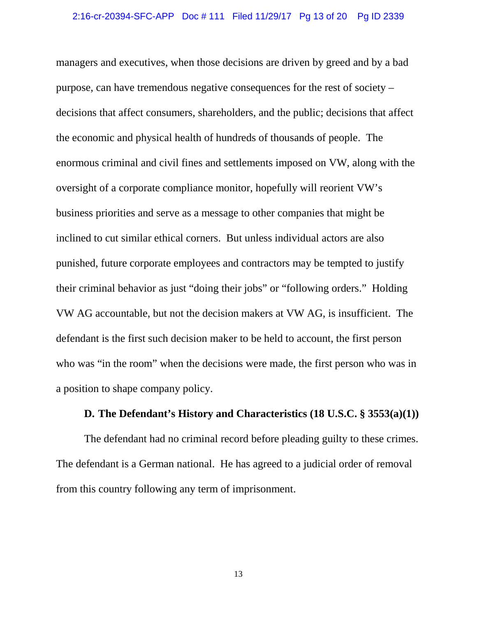managers and executives, when those decisions are driven by greed and by a bad purpose, can have tremendous negative consequences for the rest of society – decisions that affect consumers, shareholders, and the public; decisions that affect the economic and physical health of hundreds of thousands of people. The enormous criminal and civil fines and settlements imposed on VW, along with the oversight of a corporate compliance monitor, hopefully will reorient VW's business priorities and serve as a message to other companies that might be inclined to cut similar ethical corners. But unless individual actors are also punished, future corporate employees and contractors may be tempted to justify their criminal behavior as just "doing their jobs" or "following orders." Holding VW AG accountable, but not the decision makers at VW AG, is insufficient. The defendant is the first such decision maker to be held to account, the first person who was "in the room" when the decisions were made, the first person who was in a position to shape company policy.

## **D. The Defendant's History and Characteristics (18 U.S.C. § 3553(a)(1))**

The defendant had no criminal record before pleading guilty to these crimes. The defendant is a German national. He has agreed to a judicial order of removal from this country following any term of imprisonment.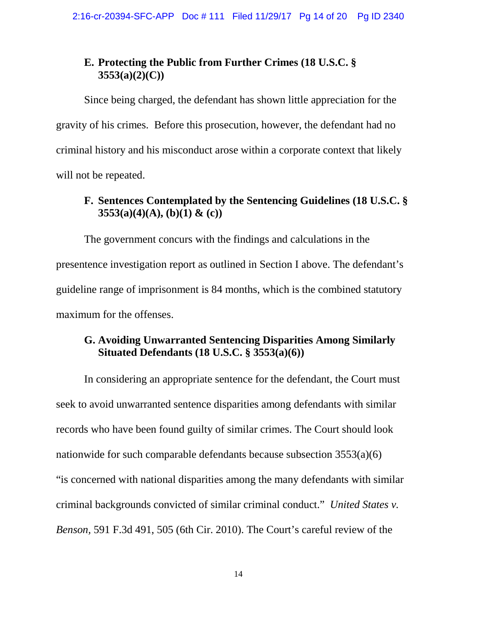## **E. Protecting the Public from Further Crimes (18 U.S.C. § 3553(a)(2)(C))**

Since being charged, the defendant has shown little appreciation for the gravity of his crimes. Before this prosecution, however, the defendant had no criminal history and his misconduct arose within a corporate context that likely will not be repeated.

# **F. Sentences Contemplated by the Sentencing Guidelines (18 U.S.C. § 3553(a)(4)(A), (b)(1) & (c))**

The government concurs with the findings and calculations in the presentence investigation report as outlined in Section I above. The defendant's guideline range of imprisonment is 84 months, which is the combined statutory maximum for the offenses.

## **G. Avoiding Unwarranted Sentencing Disparities Among Similarly Situated Defendants (18 U.S.C. § 3553(a)(6))**

In considering an appropriate sentence for the defendant, the Court must seek to avoid unwarranted sentence disparities among defendants with similar records who have been found guilty of similar crimes. The Court should look nationwide for such comparable defendants because subsection 3553(a)(6) "is concerned with national disparities among the many defendants with similar criminal backgrounds convicted of similar criminal conduct." *United States v. Benson,* 591 F.3d 491, 505 (6th Cir. 2010). The Court's careful review of the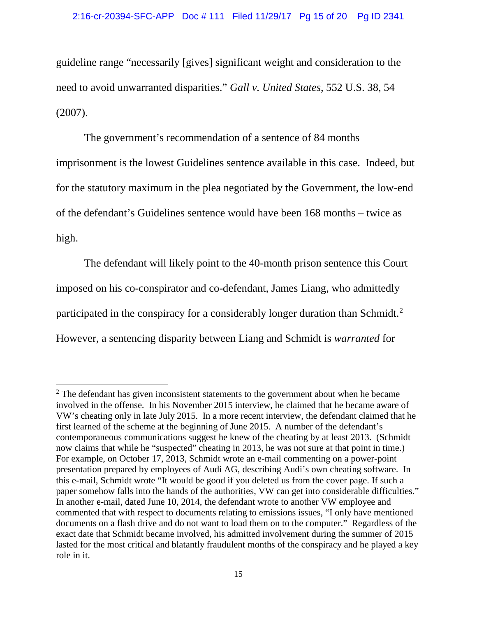guideline range "necessarily [gives] significant weight and consideration to the need to avoid unwarranted disparities." *Gall v. United States*, 552 U.S. 38, 54 (2007).

The government's recommendation of a sentence of 84 months imprisonment is the lowest Guidelines sentence available in this case. Indeed, but for the statutory maximum in the plea negotiated by the Government, the low-end of the defendant's Guidelines sentence would have been 168 months – twice as high.

The defendant will likely point to the 40-month prison sentence this Court imposed on his co-conspirator and co-defendant, James Liang, who admittedly participated in the conspiracy for a considerably longer duration than Schmidt.<sup>[2](#page-14-0)</sup> However, a sentencing disparity between Liang and Schmidt is *warranted* for

<span id="page-14-0"></span> $2$ . The defendant has given inconsistent statements to the government about when he became involved in the offense. In his November 2015 interview, he claimed that he became aware of VW's cheating only in late July 2015. In a more recent interview, the defendant claimed that he first learned of the scheme at the beginning of June 2015. A number of the defendant's contemporaneous communications suggest he knew of the cheating by at least 2013. (Schmidt now claims that while he "suspected" cheating in 2013, he was not sure at that point in time.) For example, on October 17, 2013, Schmidt wrote an e-mail commenting on a power-point presentation prepared by employees of Audi AG, describing Audi's own cheating software. In this e-mail, Schmidt wrote "It would be good if you deleted us from the cover page. If such a paper somehow falls into the hands of the authorities, VW can get into considerable difficulties." In another e-mail, dated June 10, 2014, the defendant wrote to another VW employee and commented that with respect to documents relating to emissions issues, "I only have mentioned documents on a flash drive and do not want to load them on to the computer." Regardless of the exact date that Schmidt became involved, his admitted involvement during the summer of 2015 lasted for the most critical and blatantly fraudulent months of the conspiracy and he played a key role in it.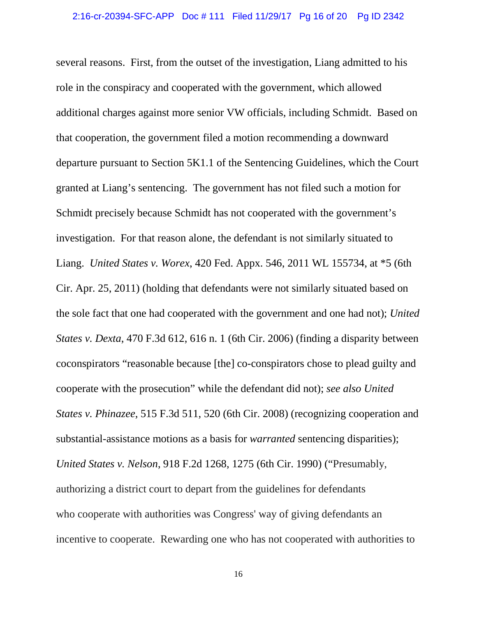several reasons. First, from the outset of the investigation, Liang admitted to his role in the conspiracy and cooperated with the government, which allowed additional charges against more senior VW officials, including Schmidt. Based on that cooperation, the government filed a motion recommending a downward departure pursuant to Section 5K1.1 of the Sentencing Guidelines, which the Court granted at Liang's sentencing. The government has not filed such a motion for Schmidt precisely because Schmidt has not cooperated with the government's investigation. For that reason alone, the defendant is not similarly situated to Liang. *United States v. Worex*, 420 Fed. Appx. 546, 2011 WL 155734, at \*5 (6th Cir. Apr. 25, 2011) (holding that defendants were not similarly situated based on the sole fact that one had cooperated with the government and one had not); *United States v. Dexta*, 470 F.3d 612, 616 n. 1 (6th Cir. 2006) (finding a disparity between coconspirators "reasonable because [the] co-conspirators chose to plead guilty and cooperate with the prosecution" while the defendant did not); *see also United States v. Phinazee*, 515 F.3d 511, 520 (6th Cir. 2008) (recognizing cooperation and substantial-assistance motions as a basis for *warranted* sentencing disparities); *United States v. Nelson*, 918 F.2d 1268, 1275 (6th Cir. 1990) ("Presumably, authorizing a district court to depart from the guidelines for defendants who cooperate with authorities was Congress' way of giving defendants an incentive to cooperate. Rewarding one who has not cooperated with authorities to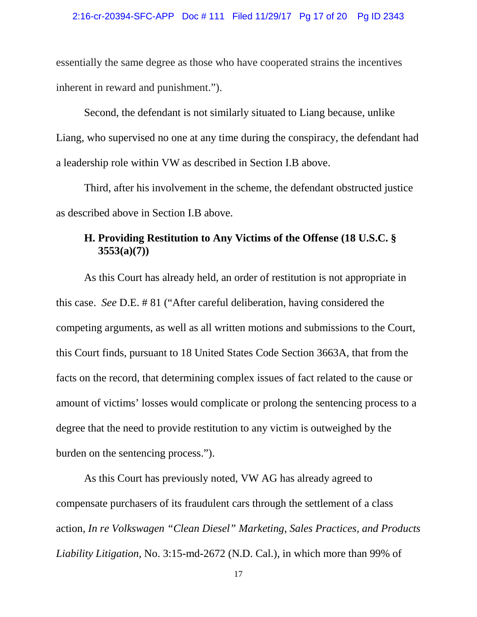### 2:16-cr-20394-SFC-APP Doc # 111 Filed 11/29/17 Pg 17 of 20 Pg ID 2343

essentially the same degree as those who have cooperated strains the incentives inherent in reward and punishment.").

Second, the defendant is not similarly situated to Liang because, unlike Liang, who supervised no one at any time during the conspiracy, the defendant had a leadership role within VW as described in Section I.B above.

Third, after his involvement in the scheme, the defendant obstructed justice as described above in Section I.B above.

# **H. Providing Restitution to Any Victims of the Offense (18 U.S.C. § 3553(a)(7))**

As this Court has already held, an order of restitution is not appropriate in this case. *See* D.E. # 81 ("After careful deliberation, having considered the competing arguments, as well as all written motions and submissions to the Court, this Court finds, pursuant to 18 United States Code Section 3663A, that from the facts on the record, that determining complex issues of fact related to the cause or amount of victims' losses would complicate or prolong the sentencing process to a degree that the need to provide restitution to any victim is outweighed by the burden on the sentencing process.").

As this Court has previously noted, VW AG has already agreed to compensate purchasers of its fraudulent cars through the settlement of a class action, *In re Volkswagen "Clean Diesel" Marketing, Sales Practices, and Products Liability Litigation,* No. 3:15-md-2672 (N.D. Cal.), in which more than 99% of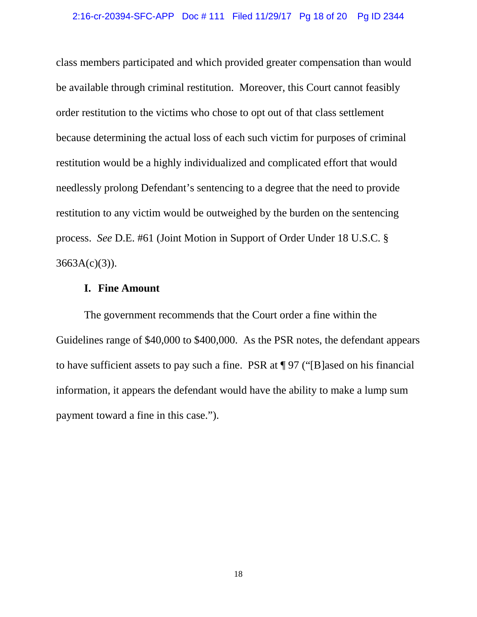class members participated and which provided greater compensation than would be available through criminal restitution. Moreover, this Court cannot feasibly order restitution to the victims who chose to opt out of that class settlement because determining the actual loss of each such victim for purposes of criminal restitution would be a highly individualized and complicated effort that would needlessly prolong Defendant's sentencing to a degree that the need to provide restitution to any victim would be outweighed by the burden on the sentencing process. *See* D.E. #61 (Joint Motion in Support of Order Under 18 U.S.C. §  $3663A(c)(3)$ ).

### **I. Fine Amount**

The government recommends that the Court order a fine within the Guidelines range of \$40,000 to \$400,000. As the PSR notes, the defendant appears to have sufficient assets to pay such a fine. PSR at ¶ 97 ("[B]ased on his financial information, it appears the defendant would have the ability to make a lump sum payment toward a fine in this case.").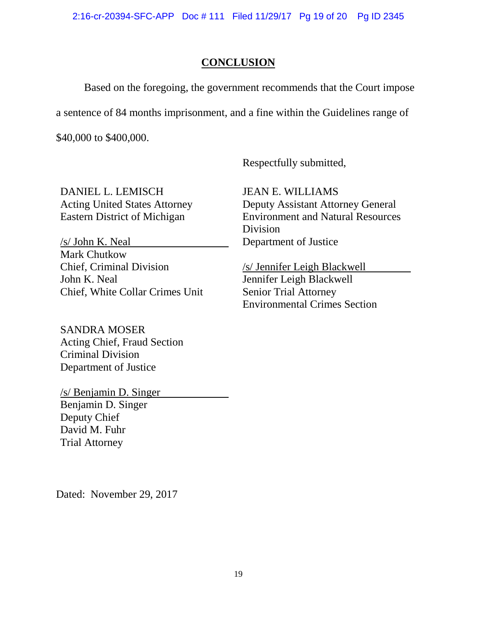2:16-cr-20394-SFC-APP Doc # 111 Filed 11/29/17 Pg 19 of 20 Pg ID 2345

## **CONCLUSION**

Based on the foregoing, the government recommends that the Court impose

a sentence of 84 months imprisonment, and a fine within the Guidelines range of

\$40,000 to \$400,000.

Respectfully submitted,

JEAN E. WILLIAMS

Department of Justice

Division

DANIEL L. LEMISCH Acting United States Attorney Eastern District of Michigan

/s/ John K. Neal Mark Chutkow Chief, Criminal Division John K. Neal Chief, White Collar Crimes Unit

SANDRA MOSER Acting Chief, Fraud Section Criminal Division Department of Justice

/s/ Benjamin D. Singer Benjamin D. Singer Deputy Chief David M. Fuhr Trial Attorney

Dated: November 29, 2017

/s/ Jennifer Leigh Blackwell Jennifer Leigh Blackwell Senior Trial Attorney

Environmental Crimes Section

Deputy Assistant Attorney General Environment and Natural Resources